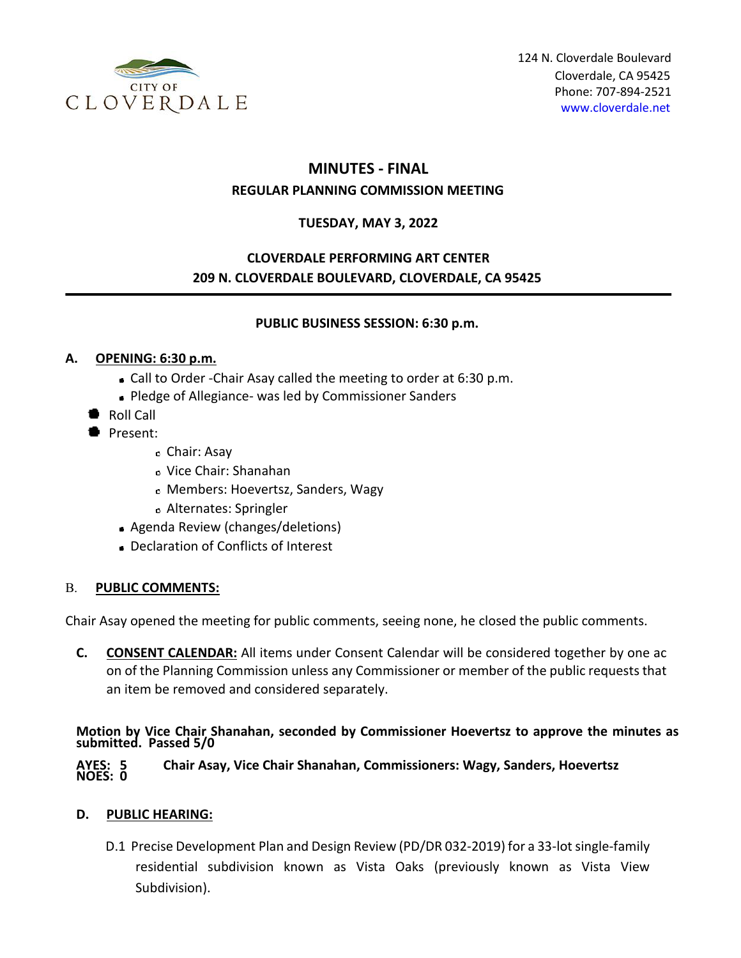

# **MINUTES - FINAL**

## **REGULAR PLANNING COMMISSION MEETING**

## **TUESDAY, MAY 3, 2022**

## **CLOVERDALE PERFORMING ART CENTER 209 N. CLOVERDALE BOULEVARD, CLOVERDALE, CA 95425**

#### **PUBLIC BUSINESS SESSION: 6:30 p.m.**

## **A. OPENING: 6:30 p.m.**

- Call to Order -Chair Asay called the meeting to order at 6:30 p.m.
- Pledge of Allegiance- was led by Commissioner Sanders
- Roll Call
- Present:
	- Chair: Asay
	- Vice Chair: Shanahan
	- Members: Hoevertsz, Sanders, Wagy
	- Alternates: Springler
	- Agenda Review (changes/deletions)
	- Declaration of Conflicts of Interest

## B. **PUBLIC COMMENTS:**

Chair Asay opened the meeting for public comments, seeing none, he closed the public comments.

**C. CONSENT CALENDAR:** All items under Consent Calendar will be considered together by one ac on of the Planning Commission unless any Commissioner or member of the public requests that an item be removed and considered separately.

**Motion by Vice Chair Shanahan, seconded by Commissioner Hoevertsz to approve the minutes as submitted. Passed 5/0** 

#### **AYES: 5 Chair Asay, Vice Chair Shanahan, Commissioners: Wagy, Sanders, Hoevertsz NOES: 0**

## **D. PUBLIC HEARING:**

D.1 Precise Development Plan and Design Review (PD/DR 032-2019) for a 33-lot single-family residential subdivision known as Vista Oaks (previously known as Vista View Subdivision).